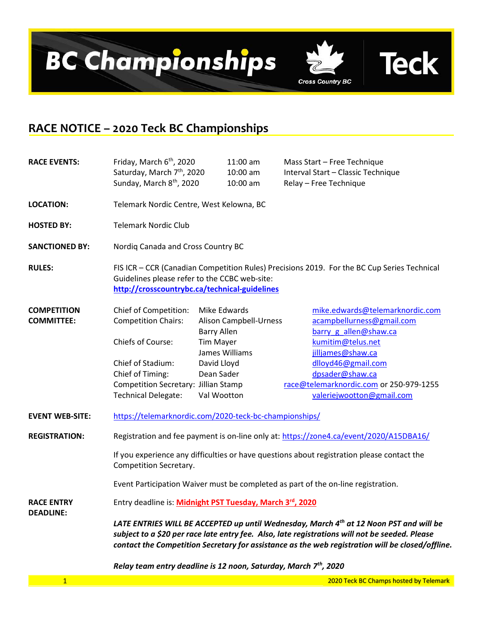

## RACE NOTICE – 2020 Teck BC Championships

| <b>RACE EVENTS:</b>                     | Friday, March 6 <sup>th</sup> , 2020<br>Saturday, March 7 <sup>th</sup> , 2020<br>Sunday, March 8 <sup>th</sup> , 2020                                                                                                                                                                       |                    | $11:00$ am<br>10:00 am<br>10:00 am                                                |  | Mass Start - Free Technique<br>Interval Start - Classic Technique<br>Relay - Free Technique |  |  |  |  |
|-----------------------------------------|----------------------------------------------------------------------------------------------------------------------------------------------------------------------------------------------------------------------------------------------------------------------------------------------|--------------------|-----------------------------------------------------------------------------------|--|---------------------------------------------------------------------------------------------|--|--|--|--|
| <b>LOCATION:</b>                        | Telemark Nordic Centre, West Kelowna, BC                                                                                                                                                                                                                                                     |                    |                                                                                   |  |                                                                                             |  |  |  |  |
| <b>HOSTED BY:</b>                       | <b>Telemark Nordic Club</b>                                                                                                                                                                                                                                                                  |                    |                                                                                   |  |                                                                                             |  |  |  |  |
| <b>SANCTIONED BY:</b>                   | Nordiq Canada and Cross Country BC                                                                                                                                                                                                                                                           |                    |                                                                                   |  |                                                                                             |  |  |  |  |
| <b>RULES:</b>                           | FIS ICR - CCR (Canadian Competition Rules) Precisions 2019. For the BC Cup Series Technical<br>Guidelines please refer to the CCBC web-site:<br>http://crosscountrybc.ca/technical-guidelines                                                                                                |                    |                                                                                   |  |                                                                                             |  |  |  |  |
| <b>COMPETITION</b><br><b>COMMITTEE:</b> | Chief of Competition:<br><b>Competition Chairs:</b>                                                                                                                                                                                                                                          | <b>Barry Allen</b> | Mike Edwards<br>Alison Campbell-Urness                                            |  | mike.edwards@telemarknordic.com<br>acampbellurness@gmail.com<br>barry g allen@shaw.ca       |  |  |  |  |
|                                         | Chiefs of Course:                                                                                                                                                                                                                                                                            | <b>Tim Mayer</b>   | James Williams                                                                    |  | kumitim@telus.net<br>jilljames@shaw.ca                                                      |  |  |  |  |
|                                         | Chief of Stadium:                                                                                                                                                                                                                                                                            | David Lloyd        |                                                                                   |  | dlloyd46@gmail.com                                                                          |  |  |  |  |
|                                         | Chief of Timing:                                                                                                                                                                                                                                                                             | Dean Sader         |                                                                                   |  | dpsader@shaw.ca                                                                             |  |  |  |  |
|                                         | Competition Secretary: Jillian Stamp                                                                                                                                                                                                                                                         |                    |                                                                                   |  | race@telemarknordic.com or 250-979-1255                                                     |  |  |  |  |
|                                         | <b>Technical Delegate:</b>                                                                                                                                                                                                                                                                   |                    | Val Wootton                                                                       |  | valeriejwootton@gmail.com                                                                   |  |  |  |  |
| <b>EVENT WEB-SITE:</b>                  | https://telemarknordic.com/2020-teck-bc-championships/                                                                                                                                                                                                                                       |                    |                                                                                   |  |                                                                                             |  |  |  |  |
| <b>REGISTRATION:</b>                    | Registration and fee payment is on-line only at: https://zone4.ca/event/2020/A15DBA16/                                                                                                                                                                                                       |                    |                                                                                   |  |                                                                                             |  |  |  |  |
|                                         | If you experience any difficulties or have questions about registration please contact the<br>Competition Secretary.                                                                                                                                                                         |                    |                                                                                   |  |                                                                                             |  |  |  |  |
|                                         |                                                                                                                                                                                                                                                                                              |                    | Event Participation Waiver must be completed as part of the on-line registration. |  |                                                                                             |  |  |  |  |
| <b>RACE ENTRY</b><br><b>DEADLINE:</b>   | Entry deadline is: Midnight PST Tuesday, March 3rd, 2020                                                                                                                                                                                                                                     |                    |                                                                                   |  |                                                                                             |  |  |  |  |
|                                         | LATE ENTRIES WILL BE ACCEPTED up until Wednesday, March 4th at 12 Noon PST and will be<br>subject to a \$20 per race late entry fee. Also, late registrations will not be seeded. Please<br>contact the Competition Secretary for assistance as the web registration will be closed/offline. |                    |                                                                                   |  |                                                                                             |  |  |  |  |
|                                         | Relay team entry deadline is 12 noon, Saturday, March 7 <sup>th</sup> , 2020                                                                                                                                                                                                                 |                    |                                                                                   |  |                                                                                             |  |  |  |  |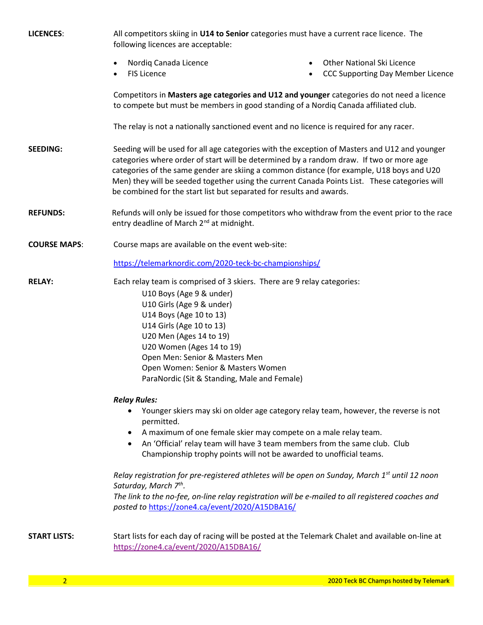| <b>LICENCES:</b>    | All competitors skiing in U14 to Senior categories must have a current race licence. The<br>following licences are acceptable:                                                                                                                                                                                                                                                                                                                                 |                                                                                            |  |  |  |  |  |  |
|---------------------|----------------------------------------------------------------------------------------------------------------------------------------------------------------------------------------------------------------------------------------------------------------------------------------------------------------------------------------------------------------------------------------------------------------------------------------------------------------|--------------------------------------------------------------------------------------------|--|--|--|--|--|--|
|                     | Nordiq Canada Licence<br>$\bullet$<br><b>FIS Licence</b><br>$\bullet$                                                                                                                                                                                                                                                                                                                                                                                          | <b>Other National Ski Licence</b><br>$\bullet$<br><b>CCC Supporting Day Member Licence</b> |  |  |  |  |  |  |
|                     | Competitors in Masters age categories and U12 and younger categories do not need a licence<br>to compete but must be members in good standing of a Nordiq Canada affiliated club.                                                                                                                                                                                                                                                                              |                                                                                            |  |  |  |  |  |  |
|                     | The relay is not a nationally sanctioned event and no licence is required for any racer.                                                                                                                                                                                                                                                                                                                                                                       |                                                                                            |  |  |  |  |  |  |
| <b>SEEDING:</b>     | Seeding will be used for all age categories with the exception of Masters and U12 and younger<br>categories where order of start will be determined by a random draw. If two or more age<br>categories of the same gender are skiing a common distance (for example, U18 boys and U20<br>Men) they will be seeded together using the current Canada Points List. These categories will<br>be combined for the start list but separated for results and awards. |                                                                                            |  |  |  |  |  |  |
| <b>REFUNDS:</b>     | Refunds will only be issued for those competitors who withdraw from the event prior to the race<br>entry deadline of March 2 <sup>nd</sup> at midnight.                                                                                                                                                                                                                                                                                                        |                                                                                            |  |  |  |  |  |  |
| <b>COURSE MAPS:</b> | Course maps are available on the event web-site:                                                                                                                                                                                                                                                                                                                                                                                                               |                                                                                            |  |  |  |  |  |  |
|                     | https://telemarknordic.com/2020-teck-bc-championships/                                                                                                                                                                                                                                                                                                                                                                                                         |                                                                                            |  |  |  |  |  |  |
| <b>RELAY:</b>       | Each relay team is comprised of 3 skiers. There are 9 relay categories:<br>U10 Boys (Age 9 & under)<br>U10 Girls (Age 9 & under)<br>U14 Boys (Age 10 to 13)<br>U14 Girls (Age 10 to 13)<br>U20 Men (Ages 14 to 19)<br>U20 Women (Ages 14 to 19)<br>Open Men: Senior & Masters Men<br>Open Women: Senior & Masters Women<br>ParaNordic (Sit & Standing, Male and Female)                                                                                        |                                                                                            |  |  |  |  |  |  |
|                     | <b>Relay Rules:</b>                                                                                                                                                                                                                                                                                                                                                                                                                                            |                                                                                            |  |  |  |  |  |  |
|                     | Younger skiers may ski on older age category relay team, however, the reverse is not<br>permitted.<br>A maximum of one female skier may compete on a male relay team.<br>An 'Official' relay team will have 3 team members from the same club. Club<br>Championship trophy points will not be awarded to unofficial teams.                                                                                                                                     |                                                                                            |  |  |  |  |  |  |
|                     | Relay registration for pre-registered athletes will be open on Sunday, March 1 <sup>st</sup> until 12 noon<br>Saturday, March 7 <sup>th</sup> .<br>The link to the no-fee, on-line relay registration will be e-mailed to all registered coaches and<br>posted to https://zone4.ca/event/2020/A15DBA16/                                                                                                                                                        |                                                                                            |  |  |  |  |  |  |
| <b>START LISTS:</b> | Start lists for each day of racing will be posted at the Telemark Chalet and available on-line at<br>https://zone4.ca/event/2020/A15DBA16/                                                                                                                                                                                                                                                                                                                     |                                                                                            |  |  |  |  |  |  |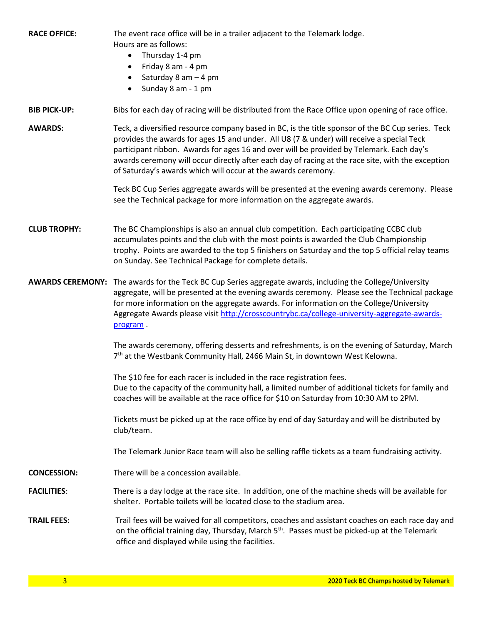RACE OFFICE: The event race office will be in a trailer adjacent to the Telemark lodge. Hours are as follows:

- Thursday 1-4 pm
- Friday 8 am 4 pm
- $\bullet$  Saturday 8 am  $-$  4 pm
- $\bullet$  Sunday 8 am 1 pm

## BIB PICK-UP: Bibs for each day of racing will be distributed from the Race Office upon opening of race office.

AWARDS: Teck, a diversified resource company based in BC, is the title sponsor of the BC Cup series. Teck provides the awards for ages 15 and under. All U8 (7 & under) will receive a special Teck participant ribbon. Awards for ages 16 and over will be provided by Telemark. Each day's awards ceremony will occur directly after each day of racing at the race site, with the exception of Saturday's awards which will occur at the awards ceremony.

> Teck BC Cup Series aggregate awards will be presented at the evening awards ceremony. Please see the Technical package for more information on the aggregate awards.

- CLUB TROPHY: The BC Championships is also an annual club competition. Each participating CCBC club accumulates points and the club with the most points is awarded the Club Championship trophy. Points are awarded to the top 5 finishers on Saturday and the top 5 official relay teams on Sunday. See Technical Package for complete details.
- AWARDS CEREMONY: The awards for the Teck BC Cup Series aggregate awards, including the College/University aggregate, will be presented at the evening awards ceremony. Please see the Technical package for more information on the aggregate awards. For information on the College/University Aggregate Awards please visit http://crosscountrybc.ca/college-university-aggregate-awardsprogram .

The awards ceremony, offering desserts and refreshments, is on the evening of Saturday, March 7<sup>th</sup> at the Westbank Community Hall, 2466 Main St, in downtown West Kelowna.

 The \$10 fee for each racer is included in the race registration fees. Due to the capacity of the community hall, a limited number of additional tickets for family and coaches will be available at the race office for \$10 on Saturday from 10:30 AM to 2PM.

 Tickets must be picked up at the race office by end of day Saturday and will be distributed by club/team.

The Telemark Junior Race team will also be selling raffle tickets as a team fundraising activity.

- CONCESSION: There will be a concession available.
- FACILITIES: There is a day lodge at the race site. In addition, one of the machine sheds will be available for shelter. Portable toilets will be located close to the stadium area.
- TRAIL FEES: Trail fees will be waived for all competitors, coaches and assistant coaches on each race day and on the official training day, Thursday, March 5<sup>th</sup>. Passes must be picked-up at the Telemark office and displayed while using the facilities.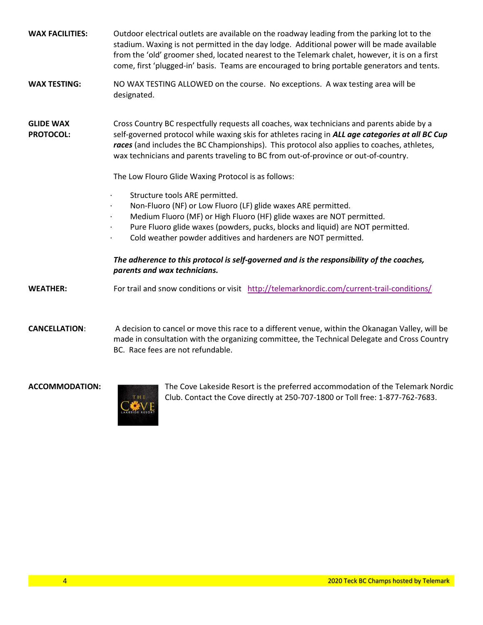| <b>WAX FACILITIES:</b>               | Outdoor electrical outlets are available on the roadway leading from the parking lot to the<br>stadium. Waxing is not permitted in the day lodge. Additional power will be made available<br>from the 'old' groomer shed, located nearest to the Telemark chalet, however, it is on a first<br>come, first 'plugged-in' basis. Teams are encouraged to bring portable generators and tents.                                                                                                                                                                                                                                                                                                                                                                                                                                                                                                              |  |  |  |  |  |
|--------------------------------------|----------------------------------------------------------------------------------------------------------------------------------------------------------------------------------------------------------------------------------------------------------------------------------------------------------------------------------------------------------------------------------------------------------------------------------------------------------------------------------------------------------------------------------------------------------------------------------------------------------------------------------------------------------------------------------------------------------------------------------------------------------------------------------------------------------------------------------------------------------------------------------------------------------|--|--|--|--|--|
| <b>WAX TESTING:</b>                  | NO WAX TESTING ALLOWED on the course. No exceptions. A wax testing area will be<br>designated.                                                                                                                                                                                                                                                                                                                                                                                                                                                                                                                                                                                                                                                                                                                                                                                                           |  |  |  |  |  |
| <b>GLIDE WAX</b><br><b>PROTOCOL:</b> | Cross Country BC respectfully requests all coaches, wax technicians and parents abide by a<br>self-governed protocol while waxing skis for athletes racing in ALL age categories at all BC Cup<br>races (and includes the BC Championships). This protocol also applies to coaches, athletes,<br>wax technicians and parents traveling to BC from out-of-province or out-of-country.<br>The Low Flouro Glide Waxing Protocol is as follows:<br>Structure tools ARE permitted.<br>Non-Fluoro (NF) or Low Fluoro (LF) glide waxes ARE permitted.<br>Medium Fluoro (MF) or High Fluoro (HF) glide waxes are NOT permitted.<br>Pure Fluoro glide waxes (powders, pucks, blocks and liquid) are NOT permitted.<br>Cold weather powder additives and hardeners are NOT permitted.<br>The adherence to this protocol is self-governed and is the responsibility of the coaches,<br>parents and wax technicians. |  |  |  |  |  |
| <b>WEATHER:</b>                      | For trail and snow conditions or visit http://telemarknordic.com/current-trail-conditions/                                                                                                                                                                                                                                                                                                                                                                                                                                                                                                                                                                                                                                                                                                                                                                                                               |  |  |  |  |  |

CANCELLATION: A decision to cancel or move this race to a different venue, within the Okanagan Valley, will be made in consultation with the organizing committee, the Technical Delegate and Cross Country BC. Race fees are not refundable.



ACCOMMODATION: The Cove Lakeside Resort is the preferred accommodation of the Telemark Nordic Club. Contact the Cove directly at 250-707-1800 or Toll free: 1-877-762-7683.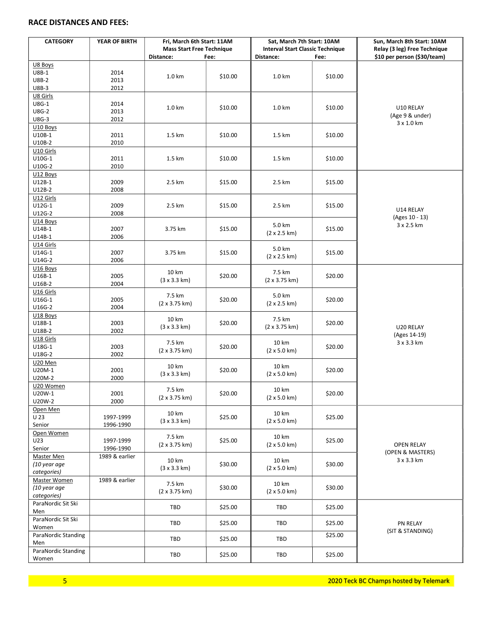## RACE DISTANCES AND FEES:

| <b>CATEGORY</b>            | YEAR OF BIRTH          | Fri, March 6th Start: 11AM<br><b>Mass Start Free Technique</b><br>Distance:<br>Fee: |         | Sat, March 7th Start: 10AM<br><b>Interval Start Classic Technique</b><br>Distance: | Fee:    | Sun, March 8th Start: 10AM<br>Relay (3 leg) Free Technique<br>\$10 per person (\$30/team) |
|----------------------------|------------------------|-------------------------------------------------------------------------------------|---------|------------------------------------------------------------------------------------|---------|-------------------------------------------------------------------------------------------|
| U8 Boys                    |                        |                                                                                     |         |                                                                                    |         |                                                                                           |
| $UBB-1$                    | 2014                   |                                                                                     |         |                                                                                    |         |                                                                                           |
| <b>U8B-2</b>               | 2013                   | 1.0 km                                                                              | \$10.00 | 1.0 km                                                                             | \$10.00 |                                                                                           |
| <b>U8B-3</b>               | 2012                   |                                                                                     |         |                                                                                    |         |                                                                                           |
| U8 Girls                   |                        |                                                                                     |         |                                                                                    |         |                                                                                           |
| U8G-1                      | 2014                   | 1.0 km                                                                              | \$10.00 | 1.0 km                                                                             | \$10.00 |                                                                                           |
| <b>U8G-2</b>               | 2013                   |                                                                                     |         |                                                                                    |         | U10 RELAY<br>(Age 9 & under)                                                              |
| U8G-3                      | 2012                   |                                                                                     |         |                                                                                    |         | 3 x 1.0 km                                                                                |
| U10 Boys                   |                        |                                                                                     |         |                                                                                    |         |                                                                                           |
| U10B-1                     | 2011                   | 1.5 km                                                                              | \$10.00 | 1.5 km                                                                             | \$10.00 |                                                                                           |
| U10B-2                     | 2010                   |                                                                                     |         |                                                                                    |         |                                                                                           |
| U10 Girls                  |                        |                                                                                     |         |                                                                                    |         |                                                                                           |
| U10G-1                     | 2011                   | 1.5 km                                                                              | \$10.00 | 1.5 km                                                                             | \$10.00 |                                                                                           |
| U10G-2                     | 2010                   |                                                                                     |         |                                                                                    |         |                                                                                           |
| U12 Boys                   |                        |                                                                                     |         |                                                                                    |         |                                                                                           |
| U12B-1                     | 2009                   | 2.5 km                                                                              | \$15.00 | 2.5 km                                                                             | \$15.00 |                                                                                           |
| $U12B-2$                   | 2008                   |                                                                                     |         |                                                                                    |         |                                                                                           |
| U12 Girls                  |                        |                                                                                     |         |                                                                                    |         |                                                                                           |
| U12G-1                     | 2009                   | 2.5 km                                                                              | \$15.00 | 2.5 km                                                                             | \$15.00 | U14 RELAY                                                                                 |
| U12G-2                     | 2008                   |                                                                                     |         |                                                                                    |         | (Ages 10 - 13)                                                                            |
| U14 Boys                   |                        |                                                                                     |         | 5.0 km                                                                             |         | 3 x 2.5 km                                                                                |
| U14B-1                     | 2007                   | 3.75 km                                                                             | \$15.00 | (2 x 2.5 km)                                                                       | \$15.00 |                                                                                           |
| U14B-1                     | 2006                   |                                                                                     |         |                                                                                    |         |                                                                                           |
| U14 Girls                  |                        |                                                                                     |         | 5.0 km                                                                             |         |                                                                                           |
| U14G-1<br>U14G-2           | 2007<br>2006           | 3.75 km                                                                             | \$15.00 | $(2 \times 2.5 \text{ km})$                                                        | \$15.00 |                                                                                           |
| U16 Boys                   |                        |                                                                                     |         |                                                                                    |         |                                                                                           |
| U16B-1                     | 2005                   | 10 km                                                                               | \$20.00 | 7.5 km                                                                             | \$20.00 |                                                                                           |
| U16B-2                     | 2004                   | (3 x 3.3 km)                                                                        |         | $(2 \times 3.75 \text{ km})$                                                       |         |                                                                                           |
| U16 Girls                  |                        |                                                                                     |         |                                                                                    |         |                                                                                           |
| U16G-1                     | 2005                   | 7.5 km                                                                              | \$20.00 | 5.0 km                                                                             | \$20.00 |                                                                                           |
| U16G-2                     | 2004                   | $(2 \times 3.75 \text{ km})$                                                        |         | $(2 \times 2.5 \text{ km})$                                                        |         |                                                                                           |
| U18 Boys                   |                        |                                                                                     |         |                                                                                    |         |                                                                                           |
| U18B-1                     | 2003                   | 10 km                                                                               | \$20.00 | 7.5 km                                                                             | \$20.00 |                                                                                           |
| U18B-2                     | 2002                   | $(3 \times 3.3 \text{ km})$                                                         |         | $(2 \times 3.75 \text{ km})$                                                       |         | U20 RELAY                                                                                 |
| U18 Girls                  |                        |                                                                                     |         |                                                                                    |         | (Ages 14-19)                                                                              |
| U18G-1                     | 2003                   | 7.5 km                                                                              | \$20.00 | 10 km                                                                              | \$20.00 | 3 x 3.3 km                                                                                |
| U18G-2                     | 2002                   | $(2 \times 3.75 \text{ km})$                                                        |         | $(2 \times 5.0 \text{ km})$                                                        |         |                                                                                           |
| U20 Men                    |                        |                                                                                     |         |                                                                                    |         |                                                                                           |
| U20M-1                     | 2001                   | 10 km<br>(3 x 3.3 km)                                                               | \$20.00 | 10 km<br>(2 x 5.0 km)                                                              | \$20.00 |                                                                                           |
| U20M-2                     | 2000                   |                                                                                     |         |                                                                                    |         |                                                                                           |
| U20 Women                  |                        | 7.5 km                                                                              |         | 10 km                                                                              |         |                                                                                           |
| U20W-1                     | 2001                   | $(2 \times 3.75 \text{ km})$                                                        | \$20.00 | $(2 \times 5.0 \text{ km})$                                                        | \$20.00 |                                                                                           |
| U20W-2                     | 2000                   |                                                                                     |         |                                                                                    |         |                                                                                           |
| Open Men                   |                        | 10 km                                                                               |         | 10 km                                                                              |         |                                                                                           |
| U 23                       | 1997-1999              | $(3 \times 3.3 \text{ km})$                                                         | \$25.00 | $(2 \times 5.0 \text{ km})$                                                        | \$25.00 |                                                                                           |
| Senior                     | 1996-1990              |                                                                                     |         |                                                                                    |         |                                                                                           |
| Open Women                 |                        | 7.5 km                                                                              |         | 10 km                                                                              |         |                                                                                           |
| U23<br>Senior              | 1997-1999<br>1996-1990 | $(2 \times 3.75 \text{ km})$                                                        | \$25.00 | $(2 \times 5.0 \text{ km})$                                                        | \$25.00 | <b>OPEN RELAY</b>                                                                         |
|                            |                        |                                                                                     |         |                                                                                    |         | (OPEN & MASTERS)                                                                          |
| Master Men<br>(10 year age | 1989 & earlier         | 10 km                                                                               | \$30.00 | 10 km                                                                              | \$30.00 | 3 x 3.3 km                                                                                |
| categories)                |                        | $(3 \times 3.3 \text{ km})$                                                         |         | $(2 \times 5.0 \text{ km})$                                                        |         |                                                                                           |
| Master Women               | 1989 & earlier         |                                                                                     |         |                                                                                    |         |                                                                                           |
| (10 year age               |                        | 7.5 km                                                                              | \$30.00 | 10 km                                                                              | \$30.00 |                                                                                           |
| categories)                |                        | $(2 \times 3.75 \text{ km})$                                                        |         | $(2 \times 5.0 \text{ km})$                                                        |         |                                                                                           |
| ParaNordic Sit Ski         |                        |                                                                                     |         |                                                                                    |         |                                                                                           |
| Men                        |                        | TBD                                                                                 | \$25.00 | TBD                                                                                | \$25.00 |                                                                                           |
| ParaNordic Sit Ski         |                        |                                                                                     |         |                                                                                    |         |                                                                                           |
| Women                      |                        | <b>TBD</b>                                                                          | \$25.00 | TBD                                                                                | \$25.00 | PN RELAY                                                                                  |
| ParaNordic Standing        |                        |                                                                                     |         |                                                                                    | \$25.00 | (SIT & STANDING)                                                                          |
| Men                        |                        | TBD                                                                                 | \$25.00 | TBD                                                                                |         |                                                                                           |
| ParaNordic Standing        |                        |                                                                                     |         |                                                                                    |         |                                                                                           |
| Women                      |                        | TBD                                                                                 | \$25.00 | TBD                                                                                | \$25.00 |                                                                                           |